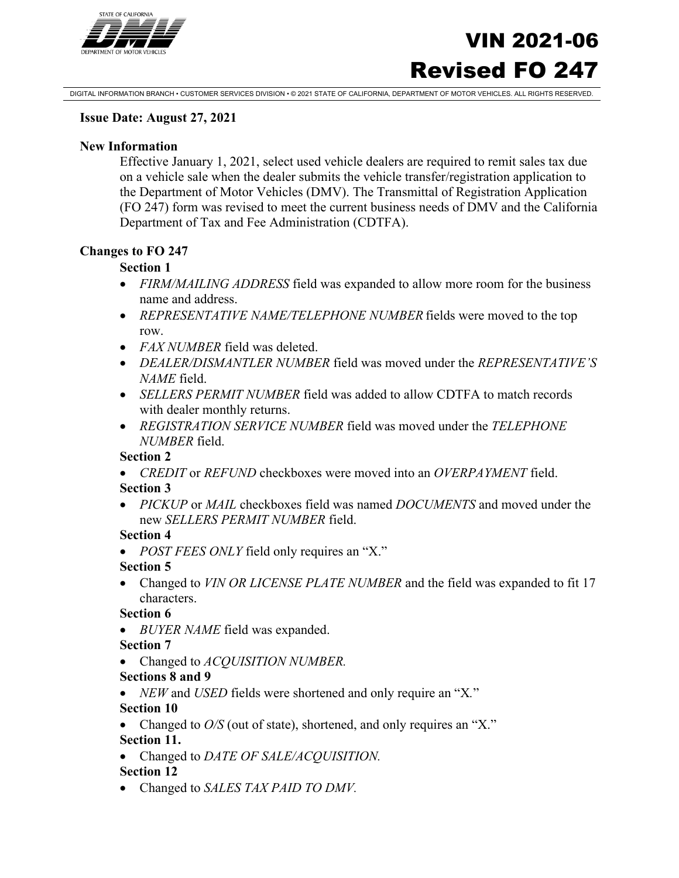

# VIN 2021-06 Revised FO 247

DIGITAL INFORMATION BRANCH • CUSTOMER SERVICES DIVISION • © 2021 STATE OF CALIFORNIA, DEPARTMENT OF MOTOR VEHICLES. ALL RIGHTS RESERVED.

#### **Issue Date: August 27, 2021**

#### **New Information**

Effective January 1, 2021, select used vehicle dealers are required to remit sales tax due on a vehicle sale when the dealer submits the vehicle transfer/registration application to the Department of Motor Vehicles (DMV). The Transmittal of Registration Application (FO 247) form was revised to meet the current business needs of DMV and the California Department of Tax and Fee Administration (CDTFA).

#### **Changes to FO 247**

#### **Section 1**

- *FIRM/MAILING ADDRESS* field was expanded to allow more room for the business name and address.
- *REPRESENTATIVE NAME/TELEPHONE NUMBER* fields were moved to the top row.
- *FAX NUMBER* field was deleted.
- *DEALER/DISMANTLER NUMBER* field was moved under the *REPRESENTATIVE'S NAME* field.
- *SELLERS PERMIT NUMBER* field was added to allow CDTFA to match records with dealer monthly returns.
- *REGISTRATION SERVICE NUMBER* field was moved under the *TELEPHONE NUMBER* field.

#### **Section 2**

• *CREDIT* or *REFUND* checkboxes were moved into an *OVERPAYMENT* field.

#### **Section 3**

• *PICKUP* or *MAIL* checkboxes field was named *DOCUMENTS* and moved under the new *SELLERS PERMIT NUMBER* field.

#### **Section 4**

• *POST FEES ONLY* field only requires an "X."

#### **Section 5**

• Changed to *VIN OR LICENSE PLATE NUMBER* and the field was expanded to fit 17 characters.

#### **Section 6**

• *BUYER NAME* field was expanded.

#### **Section 7**

- Changed to *ACQUISITION NUMBER.*
- **Sections 8 and 9**
- *NEW* and *USED* fields were shortened and only require an "X*.*"

#### **Section 10**

- Changed to  $O/S$  (out of state), shortened, and only requires an "X." **Section 11.**
- Changed to *DATE OF SALE/ACQUISITION.*

#### **Section 12**

• Changed to *SALES TAX PAID TO DMV.*